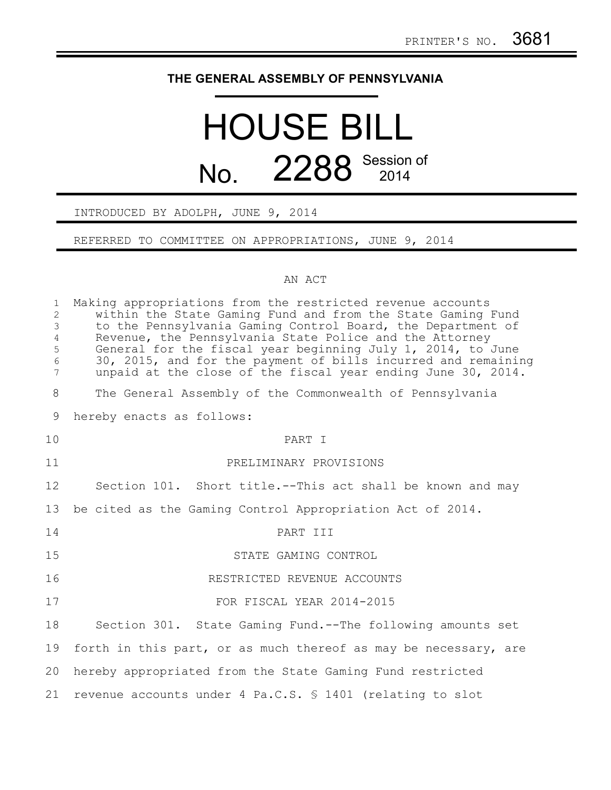## **THE GENERAL ASSEMBLY OF PENNSYLVANIA**

## HOUSE BILL No. 2288 Session of

INTRODUCED BY ADOLPH, JUNE 9, 2014

REFERRED TO COMMITTEE ON APPROPRIATIONS, JUNE 9, 2014

## AN ACT

| $\mathbf{1}$<br>2<br>$\mathfrak{Z}$<br>$\overline{4}$<br>5<br>$\sqrt{6}$<br>$7\phantom{.0}$ | Making appropriations from the restricted revenue accounts<br>within the State Gaming Fund and from the State Gaming Fund<br>to the Pennsylvania Gaming Control Board, the Department of<br>Revenue, the Pennsylvania State Police and the Attorney<br>General for the fiscal year beginning July 1, 2014, to June<br>30, 2015, and for the payment of bills incurred and remaining<br>unpaid at the close of the fiscal year ending June 30, 2014. |
|---------------------------------------------------------------------------------------------|-----------------------------------------------------------------------------------------------------------------------------------------------------------------------------------------------------------------------------------------------------------------------------------------------------------------------------------------------------------------------------------------------------------------------------------------------------|
| 8                                                                                           | The General Assembly of the Commonwealth of Pennsylvania                                                                                                                                                                                                                                                                                                                                                                                            |
| 9                                                                                           | hereby enacts as follows:                                                                                                                                                                                                                                                                                                                                                                                                                           |
| 10                                                                                          | PART I                                                                                                                                                                                                                                                                                                                                                                                                                                              |
| 11                                                                                          | PRELIMINARY PROVISIONS                                                                                                                                                                                                                                                                                                                                                                                                                              |
| 12                                                                                          | Section 101. Short title.--This act shall be known and may                                                                                                                                                                                                                                                                                                                                                                                          |
| 13                                                                                          | be cited as the Gaming Control Appropriation Act of 2014.                                                                                                                                                                                                                                                                                                                                                                                           |
| 14                                                                                          | PART III                                                                                                                                                                                                                                                                                                                                                                                                                                            |
| 15                                                                                          | STATE GAMING CONTROL                                                                                                                                                                                                                                                                                                                                                                                                                                |
| 16                                                                                          | RESTRICTED REVENUE ACCOUNTS                                                                                                                                                                                                                                                                                                                                                                                                                         |
| 17                                                                                          | FOR FISCAL YEAR 2014-2015                                                                                                                                                                                                                                                                                                                                                                                                                           |
| 18                                                                                          | Section 301. State Gaming Fund.--The following amounts set                                                                                                                                                                                                                                                                                                                                                                                          |
| 19                                                                                          | forth in this part, or as much thereof as may be necessary, are                                                                                                                                                                                                                                                                                                                                                                                     |
| 20                                                                                          | hereby appropriated from the State Gaming Fund restricted                                                                                                                                                                                                                                                                                                                                                                                           |
| 21                                                                                          | revenue accounts under 4 Pa.C.S. § 1401 (relating to slot                                                                                                                                                                                                                                                                                                                                                                                           |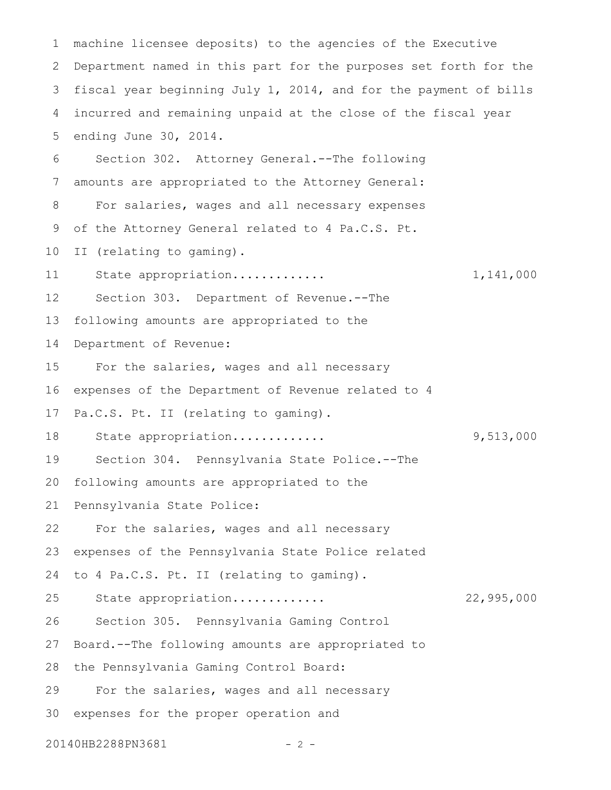machine licensee deposits) to the agencies of the Executive Department named in this part for the purposes set forth for the fiscal year beginning July 1, 2014, and for the payment of bills incurred and remaining unpaid at the close of the fiscal year ending June 30, 2014. Section 302. Attorney General.--The following amounts are appropriated to the Attorney General: For salaries, wages and all necessary expenses of the Attorney General related to 4 Pa.C.S. Pt. II (relating to gaming). State appropriation............. 1,141,000 Section 303. Department of Revenue.--The following amounts are appropriated to the Department of Revenue: For the salaries, wages and all necessary expenses of the Department of Revenue related to 4 Pa.C.S. Pt. II (relating to gaming). State appropriation............. 9,513,000 Section 304. Pennsylvania State Police.--The following amounts are appropriated to the Pennsylvania State Police: For the salaries, wages and all necessary expenses of the Pennsylvania State Police related to 4 Pa.C.S. Pt. II (relating to gaming). State appropriation............. 22,995,000 Section 305. Pennsylvania Gaming Control Board.--The following amounts are appropriated to the Pennsylvania Gaming Control Board: For the salaries, wages and all necessary expenses for the proper operation and 1 2 3 4 5 6 7 8 9 10 11 12 13 14 15 16 17 18 19 20 21 22 23 24 25 26 27 28 29 30

20140HB2288PN3681 - 2 -